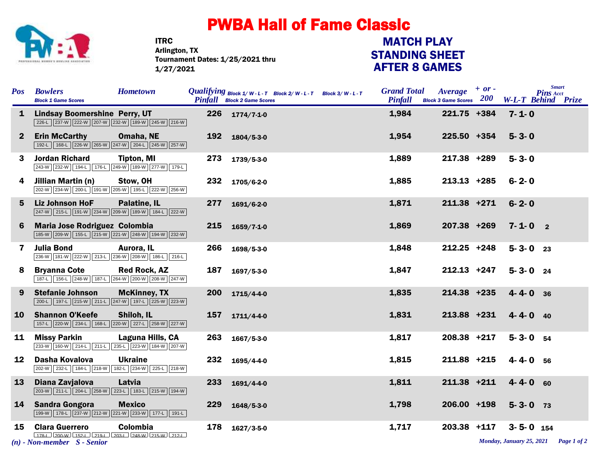

ITRC Tournament Dates: 1/25/2021 thru 1/27/2021 Arlington, TX

## STANDING SHEET AFTER 8 GAMES MATCH PLAY

| Pos          | <b>Bowlers</b><br><b>Block 1 Game Scores</b>                                                                                                             | <b>Hometown</b>     |     | <i>Qualifying</i> $Block\ 1/W-L-T$ Block 2/W-L-T Block 3/W-L-T<br><b>Pinfall</b> Block 2 Game Scores |  | <b>Grand Total</b><br><b>Pinfall</b> | <b>Average</b><br><b>Block 3 Game Scores</b> $200$ | $+ or -$ |                 | <b>Smart</b><br><b>Pins Acct</b><br><b>W-L-T Behind Prize</b> |
|--------------|----------------------------------------------------------------------------------------------------------------------------------------------------------|---------------------|-----|------------------------------------------------------------------------------------------------------|--|--------------------------------------|----------------------------------------------------|----------|-----------------|---------------------------------------------------------------|
| $\mathbf{1}$ | <b>Lindsay Boomershine Perry, UT</b><br>226-L 237-W 222-W 207-W 232-W 189-W 245-W 216-W                                                                  |                     | 226 | $1774/7 - 1 - 0$                                                                                     |  | 1,984                                | 221.75 +384                                        |          | $7 - 1 - 0$     |                                                               |
| $\mathbf{2}$ | <b>Erin McCarthy</b><br>192-L   168-L   226-W   265-W   247-W   204-L   245-W   257-W                                                                    | Omaha, NE           | 192 | $1804/5 - 3 - 0$                                                                                     |  | 1,954                                | 225.50 +354                                        |          | $5 - 3 - 0$     |                                                               |
| 3            | <b>Jordan Richard</b><br>243-W 232-W 194-L 176-L 249-W 189-W 277-W 179-L                                                                                 | <b>Tipton, MI</b>   | 273 | 1739/5-3-0                                                                                           |  | 1,889                                | 217.38 +289                                        |          | $5 - 3 - 0$     |                                                               |
| 4            | Jillian Martin (n)<br>202-W 234-W 200-L 191-W 205-W 195-L 222-W 256-W                                                                                    | Stow, OH            | 232 | 1705/6-2-0                                                                                           |  | 1,885                                | $213.13$ +285                                      |          | $6 - 2 - 0$     |                                                               |
| 5            | <b>Liz Johnson HoF</b><br>247-W 215-L 191-W 234-W 209-W 189-W 184-L 222-W                                                                                | <b>Palatine, IL</b> | 277 | 1691/6-2-0                                                                                           |  | 1,871                                | 211.38 +271                                        |          | $6 - 2 - 0$     |                                                               |
| 6            | <b>Maria Jose Rodriguez Colombia</b><br>185-W   209-W   155-L   215-W   221-W   248-W   194-W   232-W                                                    |                     | 215 | $1659/7 - 1 - 0$                                                                                     |  | 1,869                                | 207.38 +269                                        |          | $7 - 1 - 0$ 2   |                                                               |
| 7            | <b>Julia Bond</b><br>236-W 181-W 222-W 213-L 236-W 208-W 186-L 216-L                                                                                     | Aurora, IL          | 266 | 1698/5-3-0                                                                                           |  | 1,848                                | $212.25$ +248                                      |          | $5 - 3 - 0$ 23  |                                                               |
| 8            | <b>Bryanna Cote</b><br>187-L 156-L 248-W 187-L 264-W 200-W 208-W 247-W                                                                                   | <b>Red Rock, AZ</b> | 187 | $1697/5 - 3 - 0$                                                                                     |  | 1,847                                | $212.13$ +247                                      |          | $5 - 3 - 0$ 24  |                                                               |
| 9            | <b>Stefanie Johnson</b><br>200-L 197-L 215-W 211-L 247-W 197-L 225-W 223-W                                                                               | <b>McKinney, TX</b> | 200 | 1715/4-4-0                                                                                           |  | 1,835                                | 214.38 +235                                        |          | $4 - 4 - 0$ 36  |                                                               |
| <b>10</b>    | <b>Shannon O'Keefe</b><br>157-L 220-W 234-L 168-L 220-W 227-L 258-W 227-W                                                                                | Shiloh, IL          | 157 | $1711/4 - 4 - 0$                                                                                     |  | 1,831                                | 213.88 +231                                        |          | $4 - 4 - 0$ 40  |                                                               |
| 11           | <b>Missy Parkin</b><br>233-W 160-W 214-L 211-L 235-L 223-W 184-W 207-W                                                                                   | Laguna Hills, CA    | 263 | $1667/5 - 3 - 0$                                                                                     |  | 1,817                                | 208.38 +217                                        |          | $5 - 3 - 0$ 54  |                                                               |
| 12           | Dasha Kovalova<br>202-W 232-L 184-L 218-W 182-L 234-W 225-L 218-W                                                                                        | <b>Ukraine</b>      | 232 | 1695/4-4-0                                                                                           |  | 1,815                                | 211.88 +215                                        |          | $4 - 4 - 0$ 56  |                                                               |
| 13           | Diana Zavjalova<br>203-W 211-L 204-L 258-W 223-L 183-L 215-W 194-W                                                                                       | Latvia              | 233 | $1691/4 - 4 - 0$                                                                                     |  | 1,811                                | $211.38$ +211                                      |          | $4 - 4 - 0$ 60  |                                                               |
| <b>14</b>    | <b>Sandra Gongora</b><br>$\boxed{199-W}$ $\boxed{178-L}$ $\boxed{237-W}$ $\boxed{212-W}$ $\boxed{221-W}$ $\boxed{233-W}$ $\boxed{177-L}$ $\boxed{191-L}$ | <b>Mexico</b>       | 229 | $1648/5 - 3 - 0$                                                                                     |  | 1,798                                | 206.00 +198                                        |          | $5 - 3 - 0$ 73  |                                                               |
| 15           | <b>Clara Guerrero</b>                                                                                                                                    | Colombia            | 178 | $1627/3 - 5 - 0$                                                                                     |  | 1,717                                | 203.38 +117                                        |          | $3 - 5 - 0$ 154 |                                                               |
|              | Monday, January 25, 2021 Page 1 of 2<br>$(n)$ - Non-member $S$ - Senior                                                                                  |                     |     |                                                                                                      |  |                                      |                                                    |          |                 |                                                               |